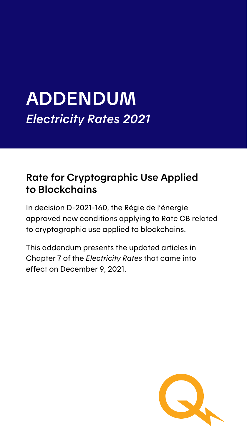## ADDENDUM *Electricity Rates 2021*

### Rate for Cryptographic Use Applied to Blockchains

In decision D-2021-160, the Régie de l'énergie approved new conditions applying to Rate CB related to cryptographic use applied to blockchains.

This addendum presents the updated articles in Chapter 7 of the *Electricity Rates* that came into effect on December 9, 2021.

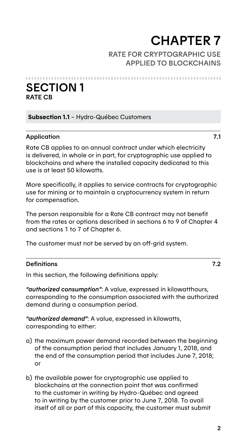# **CHAPTER 7**<br>RATE FOR CRYPTOGRAPHIC USE

APPLIED TO BLOCKCHAINS

SECTION 1 RATE CB

Subsection 1.1 – Hydro-Québec Customers

#### Application 7.1

Rate CB applies to an annual contract under which electricity is delivered, in whole or in part, for cryptographic use applied to blockchains and where the installed capacity dedicated to this use is at least 50 kilowatts.

More specifically, it applies to service contracts for cryptographic use for mining or to maintain a cryptocurrency system in return for compensation.

The person responsible for a Rate CB contract may not benefit from the rates or options described in sections 6 to 9 of Chapter 4 and sections 1 to 7 of Chapter 6.

The customer must not be served by an off-grid system.

#### Definitions 7.2

In this section, the following definitions apply:

*"authorized consumption"*: A value, expressed in kilowatthours, corresponding to the consumption associated with the authorized demand during a consumption period.

*"authorized demand"*: A value, expressed in kilowatts, corresponding to either:

- a) the maximum power demand recorded between the beginning of the consumption period that includes January 1, 2018, and the end of the consumption period that includes June 7, 2018; or
- b) the available power for cryptographic use applied to blockchains at the connection point that was confirmed to the customer in writing by Hydro-Québec and agreed to in writing by the customer prior to June 7, 2018. To avail itself of all or part of this capacity, the customer must submit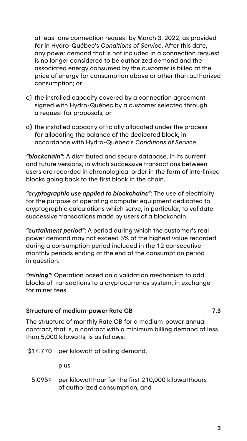at least one connection request by March 3, 2022, as provided for in Hydro-Québec's *Conditions of Service*. After this date, any power demand that is not included in a connection request is no longer considered to be authorized demand and the associated energy consumed by the customer is billed at the price of energy for consumption above or other than authorized consumption; or

- c) the installed capacity covered by a connection agreement signed with Hydro-Québec by a customer selected through a request for proposals; or
- d) the installed capacity officially allocated under the process for allocating the balance of the dedicated block, in accordance with Hydro-Québec's *Conditions of Service*.

*"blockchain"*: A distributed and secure database, in its current and future versions, in which successive transactions between users are recorded in chronological order in the form of interlinked blocks going back to the first block in the chain.

*"cryptographic use applied to blockchains"*: The use of electricity for the purpose of operating computer equipment dedicated to cryptographic calculations which serve, in particular, to validate successive transactions made by users of a blockchain.

*"curtailment period"*: A period during which the customer's real power demand may not exceed 5% of the highest value recorded during a consumption period included in the 12 consecutive monthly periods ending at the end of the consumption period in question.

*"mining"*: Operation based on a validation mechanism to add blocks of transactions to a cryptocurrency system, in exchange for miner fees.

#### Structure of medium-power Rate CB 7.3

The structure of monthly Rate CB for a medium-power annual contract, that is, a contract with a minimum billing demand of less than 5,000 kilowatts, is as follows:

\$14.770 per kilowatt of billing demand,

plus

5.095¢ per kilowatthour for the first 210,000 kilowatthours of authorized consumption, and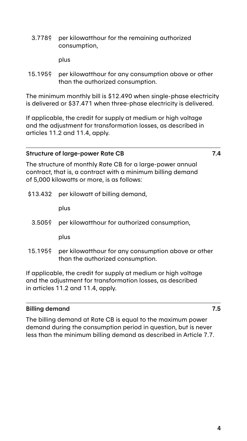3.778¢ per kilowatthour for the remaining authorized consumption,

plus

15.195¢ per kilowatthour for any consumption above or other than the authorized consumption.

The minimum monthly bill is \$12.490 when single-phase electricity is delivered or \$37.471 when three-phase electricity is delivered.

If applicable, the credit for supply at medium or high voltage and the adjustment for transformation losses, as described in articles 11.2 and 11.4, apply.

#### Structure of large-power Rate CB 7.4

The structure of monthly Rate CB for a large-power annual contract, that is, a contract with a minimum billing demand of 5,000 kilowatts or more, is as follows:

\$13.432 per kilowatt of billing demand,

plus

3.505¢ per kilowatthour for authorized consumption,

plus

15.195¢ per kilowatthour for any consumption above or other than the authorized consumption.

If applicable, the credit for supply at medium or high voltage and the adjustment for transformation losses, as described in articles 11.2 and 11.4, apply.

#### Billing demand 7.5

The billing demand at Rate CB is equal to the maximum power demand during the consumption period in question, but is never less than the minimum billing demand as described in Article 7.7.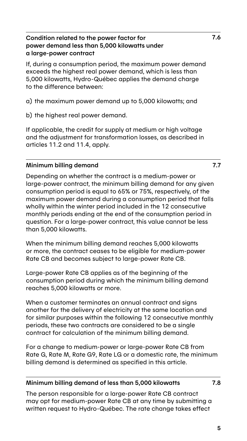#### Condition related to the power factor for power demand less than 5,000 kilowatts under a large-power contract

If, during a consumption period, the maximum power demand exceeds the highest real power demand, which is less than 5,000 kilowatts, Hydro-Québec applies the demand charge to the difference between:

- a) the maximum power demand up to 5,000 kilowatts; and
- b) the highest real power demand.

If applicable, the credit for supply at medium or high voltage and the adjustment for transformation losses, as described in articles 11.2 and 11.4, apply.

#### Minimum billing demand 7.7

Depending on whether the contract is a medium-power or large-power contract, the minimum billing demand for any given consumption period is equal to 65% or 75%, respectively, of the maximum power demand during a consumption period that falls wholly within the winter period included in the 12 consecutive monthly periods ending at the end of the consumption period in question. For a large-power contract, this value cannot be less than 5,000 kilowatts.

When the minimum billing demand reaches 5,000 kilowatts or more, the contract ceases to be eligible for medium-power Rate CB and becomes subject to large-power Rate CB.

Large-power Rate CB applies as of the beginning of the consumption period during which the minimum billing demand reaches 5,000 kilowatts or more.

When a customer terminates an annual contract and signs another for the delivery of electricity at the same location and for similar purposes within the following 12 consecutive monthly periods, these two contracts are considered to be a single contract for calculation of the minimum billing demand.

For a change to medium-power or large-power Rate CB from Rate G, Rate M, Rate G9, Rate LG or a domestic rate, the minimum billing demand is determined as specified in this article.

#### Minimum billing demand of less than 5,000 kilowatts 7.8

The person responsible for a large-power Rate CB contract may opt for medium-power Rate CB at any time by submitting a written request to Hydro-Québec. The rate change takes effect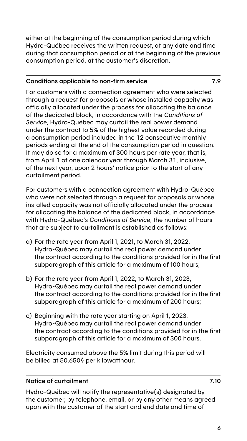either at the beginning of the consumption period during which Hydro-Québec receives the written request, at any date and time during that consumption period or at the beginning of the previous consumption period, at the customer's discretion.

#### Conditions applicable to non-firm service 7.9

For customers with a connection agreement who were selected through a request for proposals or whose installed capacity was officially allocated under the process for allocating the balance of the dedicated block, in accordance with the *Conditions of Service*, Hydro-Québec may curtail the real power demand under the contract to 5% of the highest value recorded during a consumption period included in the 12 consecutive monthly periods ending at the end of the consumption period in question. It may do so for a maximum of 300 hours per rate year, that is, from April 1 of one calendar year through March 31, inclusive, of the next year, upon 2 hours' notice prior to the start of any curtailment period.

For customers with a connection agreement with Hydro-Québec who were not selected through a request for proposals or whose installed capacity was not officially allocated under the process for allocating the balance of the dedicated block, in accordance with Hydro-Québec's *Conditions of Service*, the number of hours that are subject to curtailment is established as follows:

- a) For the rate year from April 1, 2021, to March 31, 2022, Hydro-Québec may curtail the real power demand under the contract according to the conditions provided for in the first subparagraph of this article for a maximum of 100 hours;
- b) For the rate year from April 1, 2022, to March 31, 2023, Hydro-Québec may curtail the real power demand under the contract according to the conditions provided for in the first subparagraph of this article for a maximum of 200 hours;
- c) Beginning with the rate year starting on April 1, 2023, Hydro-Québec may curtail the real power demand under the contract according to the conditions provided for in the first subparagraph of this article for a maximum of 300 hours.

Electricity consumed above the 5% limit during this period will be billed at 50.650¢ per kilowatthour.

#### Notice of curtailment 7.10

Hydro-Québec will notify the representative(s) designated by the customer, by telephone, email, or by any other means agreed upon with the customer of the start and end date and time of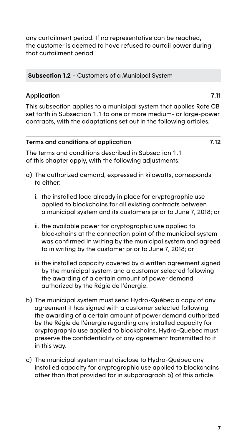any curtailment period. If no representative can be reached, the customer is deemed to have refused to curtail power during that curtailment period.

Subsection 1.2 – Customers of a Municipal System

#### Application 7.11

This subsection applies to a municipal system that applies Rate CB set forth in Subsection 1.1 to one or more medium- or large-power contracts, with the adaptations set out in the following articles.

#### Terms and conditions of application 7.12

The terms and conditions described in Subsection 1.1 of this chapter apply, with the following adjustments:

- a) The authorized demand, expressed in kilowatts, corresponds to either:
	- i. the installed load already in place for cryptographic use applied to blockchains for all existing contracts between a municipal system and its customers prior to June 7, 2018; or
	- ii. the available power for cryptographic use applied to blockchains at the connection point of the municipal system was confirmed in writing by the municipal system and agreed to in writing by the customer prior to June 7, 2018; or
	- iii. the installed capacity covered by a written agreement signed by the municipal system and a customer selected following the awarding of a certain amount of power demand authorized by the Régie de l'énergie.
- b) The municipal system must send Hydro-Québec a copy of any agreement it has signed with a customer selected following the awarding of a certain amount of power demand authorized by the Régie de l'énergie regarding any installed capacity for cryptographic use applied to blockchains. Hydro-Quebec must preserve the confidentiality of any agreement transmitted to it in this way.
- c) The municipal system must disclose to Hydro-Québec any installed capacity for cryptographic use applied to blockchains other than that provided for in subparagraph b) of this article.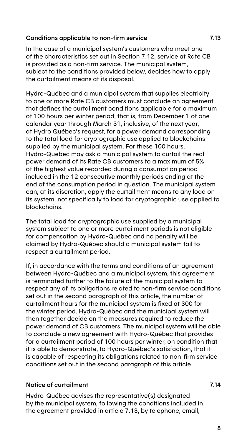#### Conditions applicable to non-firm service 7.13

In the case of a municipal system's customers who meet one of the characteristics set out in Section 7.12, service at Rate CB is provided as a non-firm service. The municipal system, subject to the conditions provided below, decides how to apply the curtailment means at its disposal.

Hydro-Québec and a municipal system that supplies electricity to one or more Rate CB customers must conclude an agreement that defines the curtailment conditions applicable for a maximum of 100 hours per winter period, that is, from December 1 of one calendar year through March 31, inclusive, of the next year, at Hydro Québec's request, for a power demand corresponding to the total load for cryptographic use applied to blockchains supplied by the municipal system. For these 100 hours, Hydro-Quebec may ask a municipal system to curtail the real power demand of its Rate CB customers to a maximum of 5% of the highest value recorded during a consumption period included in the 12 consecutive monthly periods ending at the end of the consumption period in question. The municipal system can, at its discretion, apply the curtailment means to any load on its system, not specifically to load for cryptographic use applied to blockchains.

The total load for cryptographic use supplied by a municipal system subject to one or more curtailment periods is not eligible for compensation by Hydro-Québec and no penalty will be claimed by Hydro-Québec should a municipal system fail to respect a curtailment period.

If, in accordance with the terms and conditions of an agreement between Hydro-Québec and a municipal system, this agreement is terminated further to the failure of the municipal system to respect any of its obligations related to non-firm service conditions set out in the second paragraph of this article, the number of curtailment hours for the municipal system is fixed at 300 for the winter period. Hydro-Québec and the municipal system will then together decide on the measures required to reduce the power demand of CB customers. The municipal system will be able to conclude a new agreement with Hydro-Québec that provides for a curtailment period of 100 hours per winter, on condition that it is able to demonstrate, to Hydro-Québec's satisfaction, that it is capable of respecting its obligations related to non-firm service conditions set out in the second paragraph of this article.

#### Notice of curtailment 7.14

Hydro-Québec advises the representative(s) designated by the municipal system, following the conditions included in the agreement provided in article 7.13, by telephone, email,